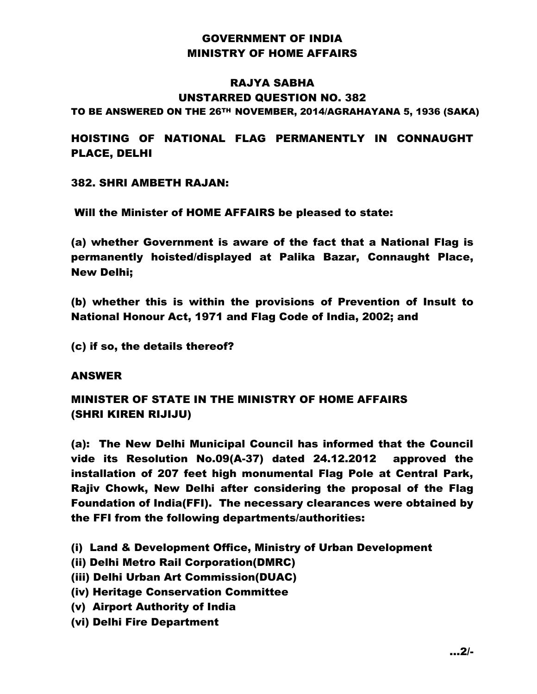## GOVERNMENT OF INDIA MINISTRY OF HOME AFFAIRS

## RAJYA SABHA UNSTARRED QUESTION NO. 382

TO BE ANSWERED ON THE 26TH NOVEMBER, 2014/AGRAHAYANA 5, 1936 (SAKA)

HOISTING OF NATIONAL FLAG PERMANENTLY IN CONNAUGHT PLACE, DELHI

382. SHRI AMBETH RAJAN:

Will the Minister of HOME AFFAIRS be pleased to state:

(a) whether Government is aware of the fact that a National Flag is permanently hoisted/displayed at Palika Bazar, Connaught Place, New Delhi;

(b) whether this is within the provisions of Prevention of Insult to National Honour Act, 1971 and Flag Code of India, 2002; and

(c) if so, the details thereof?

## ANSWER

MINISTER OF STATE IN THE MINISTRY OF HOME AFFAIRS (SHRI KIREN RIJIJU)

(a): The New Delhi Municipal Council has informed that the Council vide its Resolution No.09(A-37) dated 24.12.2012 approved the installation of 207 feet high monumental Flag Pole at Central Park, Rajiv Chowk, New Delhi after considering the proposal of the Flag Foundation of India(FFI). The necessary clearances were obtained by the FFI from the following departments/authorities:

(i) Land & Development Office, Ministry of Urban Development

- (ii) Delhi Metro Rail Corporation(DMRC)
- (iii) Delhi Urban Art Commission(DUAC)
- (iv) Heritage Conservation Committee
- (v) Airport Authority of India
- (vi) Delhi Fire Department